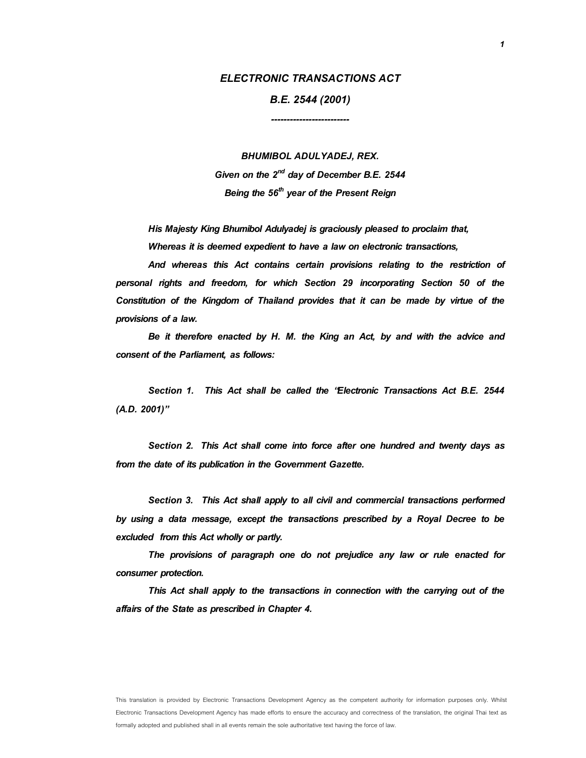# **ELECTRONIC TRANSACTIONS ACT**

**B.E. 2544 (2001) -------------------------** 

**BHUMIBOL ADULYADEJ, REX.**  Given on the  $2^{nd}$  day of December B.E. 2544 Being the 56<sup>th</sup> year of the Present Reign

His Majesty King Bhumibol Adulyadej is graciously pleased to proclaim that, Whereas it is deemed expedient to have a law on electronic transactions,

And whereas this Act contains certain provisions relating to the restriction of personal rights and freedom, for which Section 29 incorporating Section 50 of the Constitution of the Kingdom of Thailand provides that it can be made by virtue of the provisions of a law.

Be it therefore enacted by H. M. the King an Act, by and with the advice and consent of the Parliament, as follows:

**Section 1.** This Act shall be called the "Electronic Transactions Act B.E. 2544 (A.D. 2001)"

**Section 2.** This Act shall come into force after one hundred and twenty days as from the date of its publication in the Government Gazette.

**Section 3.** This Act shall apply to all civil and commercial transactions performed by using a data message, except the transactions prescribed by a Royal Decree to be excluded from this Act wholly or partly.

 The provisions of paragraph one do not prejudice any law or rule enacted for consumer protection.

This Act shall apply to the transactions in connection with the carrying out of the affairs of the State as prescribed in Chapter 4.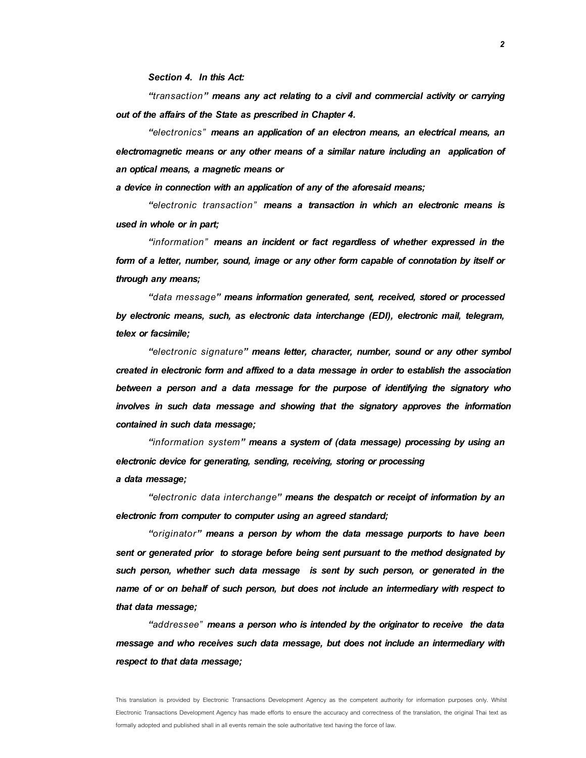**Section 4.** In this Act:

 **"***transaction***"** means any act relating to a civil and commercial activity or carrying out of the affairs of the State as prescribed in Chapter 4.

 **"***electronics"* means an application of an electron means, an electrical means, an electromagnetic means or any other means of a similar nature including an application of an optical means, a magnetic means or

a device in connection with an application of any of the aforesaid means;

 **"***electronic transaction"* means a transaction in which an electronic means is used in whole or in part;

 **"***information"* means an incident or fact regardless of whether expressed in the form of a letter, number, sound, image or any other form capable of connotation by itself or through any means;

 **"***data message***"** means information generated, sent, received, stored or processed by electronic means, such, as electronic data interchange (EDI), electronic mail, telegram, telex or facsimile;

 **"***electronic signature***"** means letter, character, number, sound or any other symbol created in electronic form and affixed to a data message in order to establish the association between a person and a data message for the purpose of identifying the signatory who involves in such data message and showing that the signatory approves the information contained in such data message;

 **"***information system***"** means a system of (data message) processing by using an electronic device for generating, sending, receiving, storing or processing a data message;

 **"***electronic data interchange***"** means the despatch or receipt of information by an electronic from computer to computer using an agreed standard;

 **"***originator***"** means a person by whom the data message purports to have been sent or generated prior to storage before being sent pursuant to the method designated by such person, whether such data message is sent by such person, or generated in the name of or on behalf of such person, but does not include an intermediary with respect to that data message;

 **"***addressee"* means a person who is intended by the originator to receive the data message and who receives such data message, but does not include an intermediary with respect to that data message;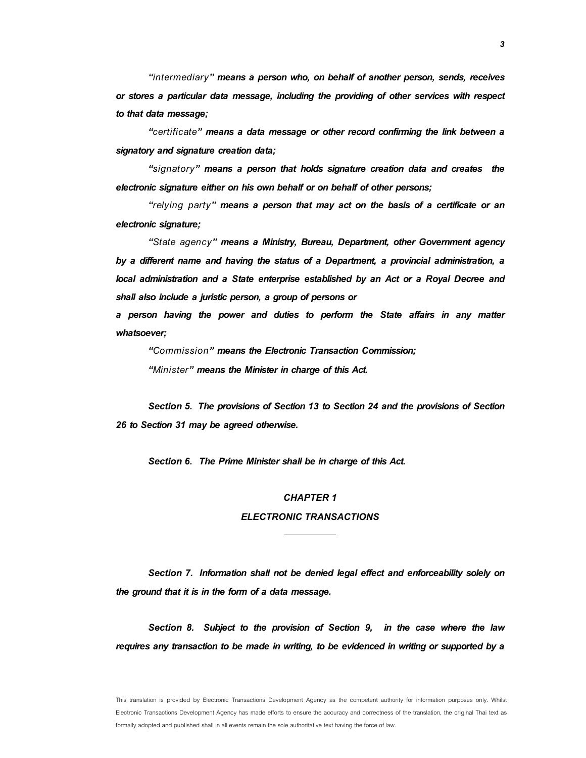**"***intermediary***"** means a person who, on behalf of another person, sends, receives or stores a particular data message, including the providing of other services with respect to that data message;

**"***certificate***"** means a data message or other record confirming the link between a signatory and signature creation data;

**"***signatory***"** means a person that holds signature creation data and creates the electronic signature either on his own behalf or on behalf of other persons;

**"***relying party***"** means a person that may act on the basis of a certificate or an electronic signature;

**"***State agency***"** means a Ministry, Bureau, Department, other Government agency by a different name and having the status of a Department, a provincial administration, a local administration and a State enterprise established by an Act or a Royal Decree and shall also include a juristic person, a group of persons or

a person having the power and duties to perform the State affairs in any matter whatsoever;

**"***Commission***"** means the Electronic Transaction Commission; **"***Minister***"** means the Minister in charge of this Act.

**Section 5.** The provisions of Section 13 to Section 24 and the provisions of Section 26 to Section 31 may be agreed otherwise.

**Section 6.** The Prime Minister shall be in charge of this Act.

### **CHAPTER 1**

# **ELECTRONIC TRANSACTIONS**

**Section 7.** Information shall not be denied legal effect and enforceability solely on the ground that it is in the form of a data message.

**Section 8.** Subject to the provision of Section 9, in the case where the law requires any transaction to be made in writing, to be evidenced in writing or supported by a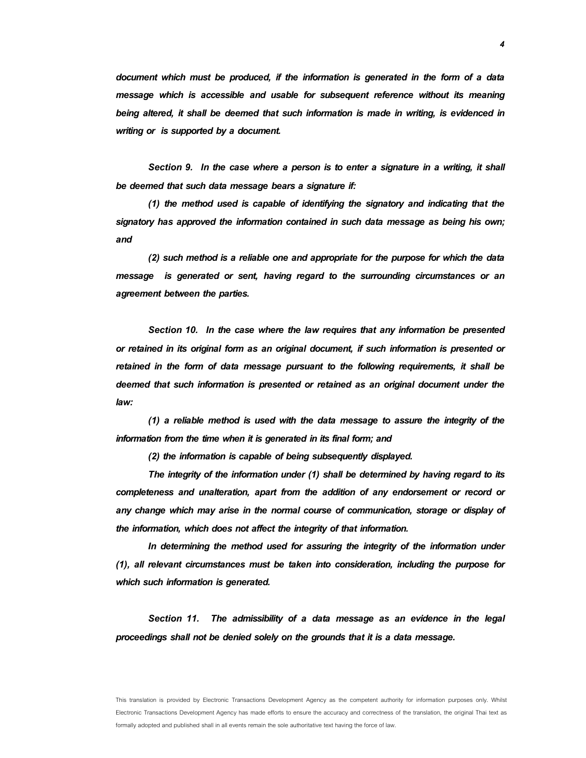document which must be produced, if the information is generated in the form of a data message which is accessible and usable for subsequent reference without its meaning being altered, it shall be deemed that such information is made in writing, is evidenced in writing or is supported by a document.

**Section 9.** In the case where a person is to enter a signature in a writing, it shall be deemed that such data message bears a signature if:

(1) the method used is capable of identifying the signatory and indicating that the signatory has approved the information contained in such data message as being his own; and

 (2) such method is a reliable one and appropriate for the purpose for which the data message is generated or sent, having regard to the surrounding circumstances or an agreement between the parties.

**Section 10.** In the case where the law requires that any information be presented or retained in its original form as an original document, if such information is presented or retained in the form of data message pursuant to the following requirements, it shall be deemed that such information is presented or retained as an original document under the law:

(1) a reliable method is used with the data message to assure the integrity of the information from the time when it is generated in its final form; and

(2) the information is capable of being subsequently displayed.

The integrity of the information under (1) shall be determined by having regard to its completeness and unalteration, apart from the addition of any endorsement or record or any change which may arise in the normal course of communication, storage or display of the information, which does not affect the integrity of that information.

 In determining the method used for assuring the integrity of the information under (1), all relevant circumstances must be taken into consideration, including the purpose for which such information is generated.

**Section 11.** The admissibility of a data message as an evidence in the legal proceedings shall not be denied solely on the grounds that it is a data message.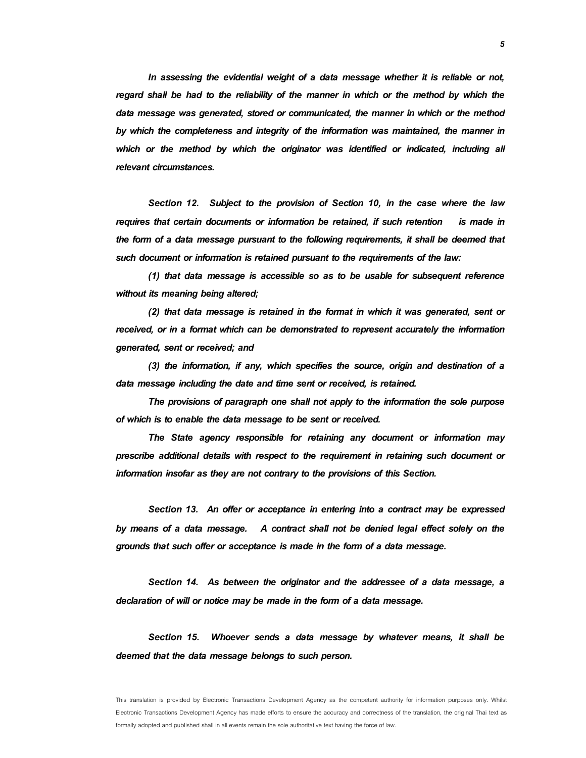In assessing the evidential weight of a data message whether it is reliable or not, regard shall be had to the reliability of the manner in which or the method by which the data message was generated, stored or communicated, the manner in which or the method by which the completeness and integrity of the information was maintained, the manner in which or the method by which the originator was identified or indicated, including all relevant circumstances.

**Section 12.** Subject to the provision of Section 10, in the case where the law requires that certain documents or information be retained, if such retention is made in the form of a data message pursuant to the following requirements, it shall be deemed that such document or information is retained pursuant to the requirements of the law:

(1) that data message is accessible so as to be usable for subsequent reference without its meaning being altered;

(2) that data message is retained in the format in which it was generated, sent or received, or in a format which can be demonstrated to represent accurately the information generated, sent or received; and

(3) the information, if any, which specifies the source, origin and destination of a data message including the date and time sent or received, is retained.

The provisions of paragraph one shall not apply to the information the sole purpose of which is to enable the data message to be sent or received.

The State agency responsible for retaining any document or information may prescribe additional details with respect to the requirement in retaining such document or information insofar as they are not contrary to the provisions of this Section.

**Section 13.** An offer or acceptance in entering into a contract may be expressed by means of a data message. A contract shall not be denied legal effect solely on the grounds that such offer or acceptance is made in the form of a data message.

**Section 14.** As between the originator and the addressee of a data message, a declaration of will or notice may be made in the form of a data message.

**Section 15.** Whoever sends a data message by whatever means, it shall be deemed that the data message belongs to such person.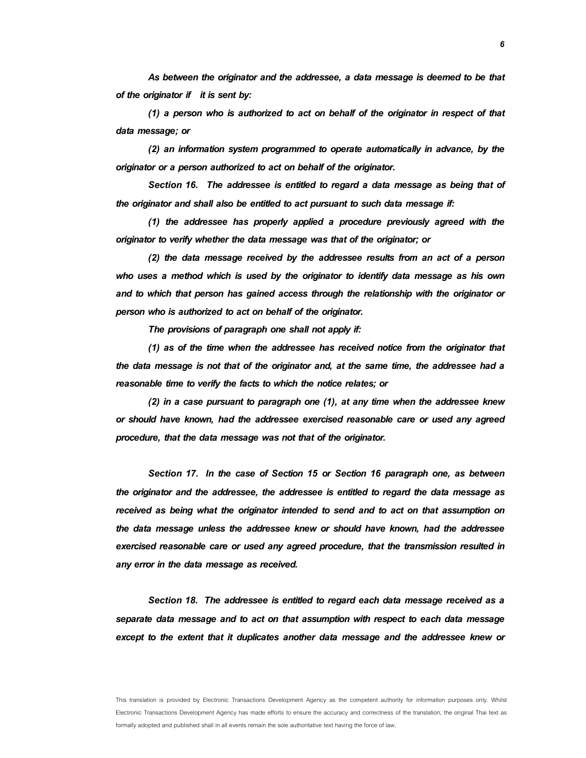As between the originator and the addressee, a data message is deemed to be that of the originator if it is sent by:

(1) a person who is authorized to act on behalf of the originator in respect of that data message; or

(2) an information system programmed to operate automatically in advance, by the originator or a person authorized to act on behalf of the originator.

**Section 16.** The addressee is entitled to regard a data message as being that of the originator and shall also be entitled to act pursuant to such data message if:

(1) the addressee has properly applied a procedure previously agreed with the originator to verify whether the data message was that of the originator; or

(2) the data message received by the addressee results from an act of a person who uses a method which is used by the originator to identify data message as his own and to which that person has gained access through the relationship with the originator or person who is authorized to act on behalf of the originator.

The provisions of paragraph one shall not apply if:

(1) as of the time when the addressee has received notice from the originator that the data message is not that of the originator and, at the same time, the addressee had a reasonable time to verify the facts to which the notice relates; or

(2) in a case pursuant to paragraph one (1), at any time when the addressee knew or should have known, had the addressee exercised reasonable care or used any agreed procedure, that the data message was not that of the originator.

**Section 17.** In the case of Section 15 or Section 16 paragraph one, as between the originator and the addressee, the addressee is entitled to regard the data message as received as being what the originator intended to send and to act on that assumption on the data message unless the addressee knew or should have known, had the addressee exercised reasonable care or used any agreed procedure, that the transmission resulted in any error in the data message as received.

**Section 18.** The addressee is entitled to regard each data message received as a separate data message and to act on that assumption with respect to each data message except to the extent that it duplicates another data message and the addressee knew or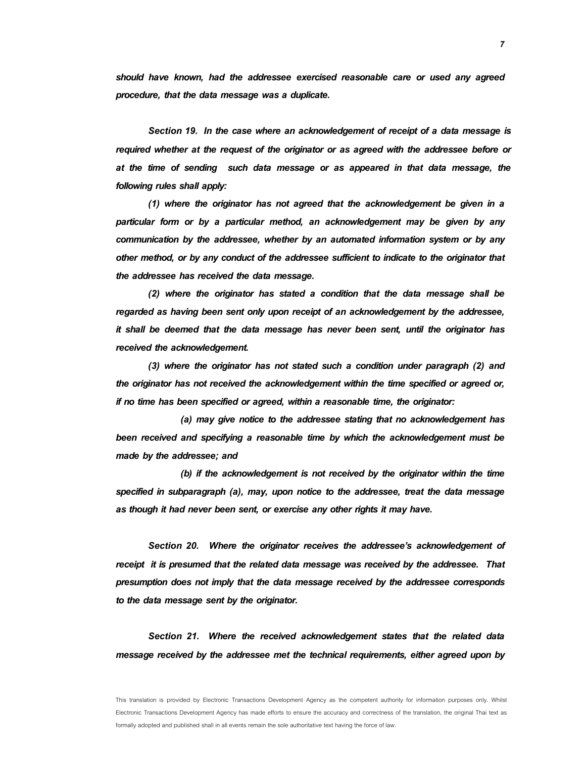should have known, had the addressee exercised reasonable care or used any agreed procedure, that the data message was a duplicate.

**Section 19.** In the case where an acknowledgement of receipt of a data message is required whether at the request of the originator or as agreed with the addressee before or at the time of sending such data message or as appeared in that data message, the following rules shall apply:

 (1) where the originator has not agreed that the acknowledgement be given in a particular form or by a particular method, an acknowledgement may be given by any communication by the addressee, whether by an automated information system or by any other method, or by any conduct of the addressee sufficient to indicate to the originator that the addressee has received the data message.

(2) where the originator has stated a condition that the data message shall be regarded as having been sent only upon receipt of an acknowledgement by the addressee, it shall be deemed that the data message has never been sent, until the originator has received the acknowledgement.

(3) where the originator has not stated such a condition under paragraph (2) and the originator has not received the acknowledgement within the time specified or agreed or, if no time has been specified or agreed, within a reasonable time, the originator:

 (a) may give notice to the addressee stating that no acknowledgement has been received and specifying a reasonable time by which the acknowledgement must be made by the addressee; and

 (b) if the acknowledgement is not received by the originator within the time specified in subparagraph (a), may, upon notice to the addressee, treat the data message as though it had never been sent, or exercise any other rights it may have.

**Section 20.** Where the originator receives the addressee's acknowledgement of receipt it is presumed that the related data message was received by the addressee. That presumption does not imply that the data message received by the addressee corresponds to the data message sent by the originator.

**Section 21.** Where the received acknowledgement states that the related data message received by the addressee met the technical requirements, either agreed upon by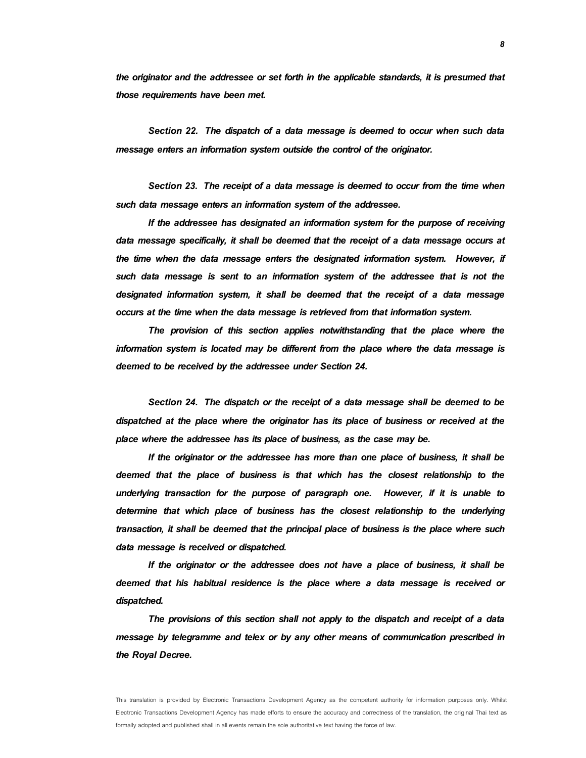the originator and the addressee or set forth in the applicable standards, it is presumed that those requirements have been met.

**Section 22.** The dispatch of a data message is deemed to occur when such data message enters an information system outside the control of the originator.

**Section 23.** The receipt of a data message is deemed to occur from the time when such data message enters an information system of the addressee.

 If the addressee has designated an information system for the purpose of receiving data message specifically, it shall be deemed that the receipt of a data message occurs at the time when the data message enters the designated information system. However, if such data message is sent to an information system of the addressee that is not the designated information system, it shall be deemed that the receipt of a data message occurs at the time when the data message is retrieved from that information system.

The provision of this section applies notwithstanding that the place where the information system is located may be different from the place where the data message is deemed to be received by the addressee under Section 24.

**Section 24.** The dispatch or the receipt of a data message shall be deemed to be dispatched at the place where the originator has its place of business or received at the place where the addressee has its place of business, as the case may be.

 If the originator or the addressee has more than one place of business, it shall be deemed that the place of business is that which has the closest relationship to the underlying transaction for the purpose of paragraph one. However, if it is unable to determine that which place of business has the closest relationship to the underlying transaction, it shall be deemed that the principal place of business is the place where such data message is received or dispatched.

If the originator or the addressee does not have a place of business, it shall be deemed that his habitual residence is the place where a data message is received or dispatched.

The provisions of this section shall not apply to the dispatch and receipt of a data message by telegramme and telex or by any other means of communication prescribed in the Royal Decree.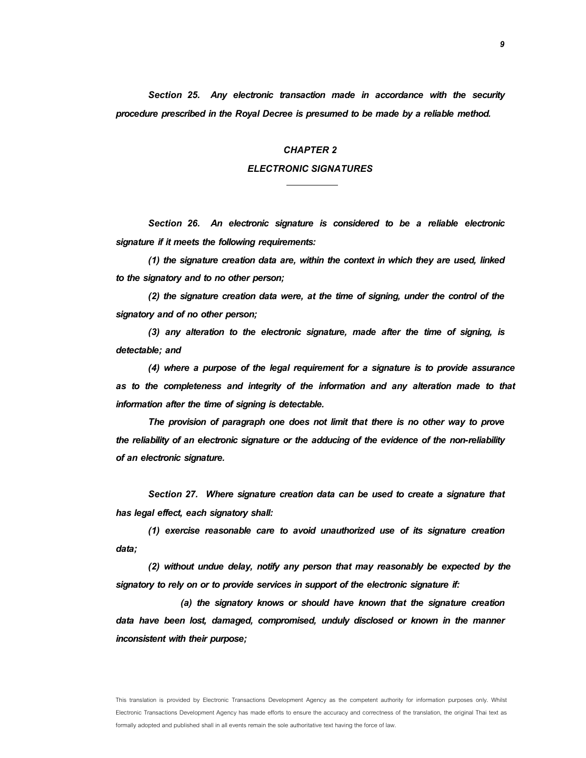**Section 25.** Any electronic transaction made in accordance with the security procedure prescribed in the Royal Decree is presumed to be made by a reliable method.

### **CHAPTER 2**

# **ELECTRONIC SIGNATURES**

**Section 26.** An electronic signature is considered to be a reliable electronic signature if it meets the following requirements:

(1) the signature creation data are, within the context in which they are used, linked to the signatory and to no other person;

(2) the signature creation data were, at the time of signing, under the control of the signatory and of no other person;

(3) any alteration to the electronic signature, made after the time of signing, is detectable; and

(4) where a purpose of the legal requirement for a signature is to provide assurance as to the completeness and integrity of the information and any alteration made to that information after the time of signing is detectable.

The provision of paragraph one does not limit that there is no other way to prove the reliability of an electronic signature or the adducing of the evidence of the non-reliability of an electronic signature.

**Section 27.** Where signature creation data can be used to create a signature that has legal effect, each signatory shall:

(1) exercise reasonable care to avoid unauthorized use of its signature creation data;

(2) without undue delay, notify any person that may reasonably be expected by the signatory to rely on or to provide services in support of the electronic signature if:

 (a) the signatory knows or should have known that the signature creation data have been lost, damaged, compromised, unduly disclosed or known in the manner inconsistent with their purpose;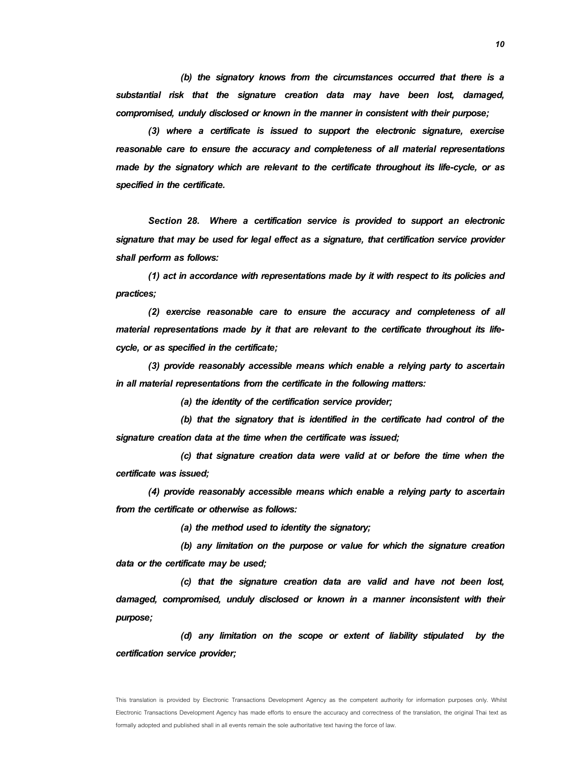(b) the signatory knows from the circumstances occurred that there is a substantial risk that the signature creation data may have been lost, damaged, compromised, unduly disclosed or known in the manner in consistent with their purpose;

 (3) where a certificate is issued to support the electronic signature, exercise reasonable care to ensure the accuracy and completeness of all material representations made by the signatory which are relevant to the certificate throughout its life-cycle, or as specified in the certificate.

**Section 28.** Where a certification service is provided to support an electronic signature that may be used for legal effect as a signature, that certification service provider shall perform as follows:

(1) act in accordance with representations made by it with respect to its policies and practices;

(2) exercise reasonable care to ensure the accuracy and completeness of all material representations made by it that are relevant to the certificate throughout its lifecycle, or as specified in the certificate;

(3) provide reasonably accessible means which enable a relying party to ascertain in all material representations from the certificate in the following matters:

(a) the identity of the certification service provider;

 (b) that the signatory that is identified in the certificate had control of the signature creation data at the time when the certificate was issued;

 (c) that signature creation data were valid at or before the time when the certificate was issued;

 (4) provide reasonably accessible means which enable a relying party to ascertain from the certificate or otherwise as follows:

(a) the method used to identity the signatory;

 (b) any limitation on the purpose or value for which the signature creation data or the certificate may be used;

 (c) that the signature creation data are valid and have not been lost, damaged, compromised, unduly disclosed or known in a manner inconsistent with their purpose;

 (d) any limitation on the scope or extent of liability stipulated by the certification service provider;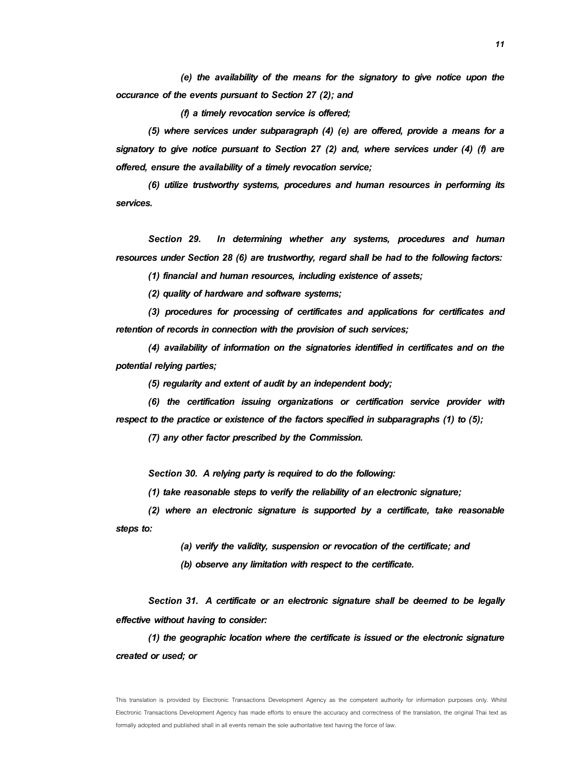(e) the availability of the means for the signatory to give notice upon the occurance of the events pursuant to Section 27 (2); and

(f) a timely revocation service is offered;

 (5) where services under subparagraph (4) (e) are offered, provide a means for a signatory to give notice pursuant to Section 27 (2) and, where services under (4) (f) are offered, ensure the availability of a timely revocation service;

(6) utilize trustworthy systems, procedures and human resources in performing its services.

**Section 29.** In determining whether any systems, procedures and human resources under Section 28 (6) are trustworthy, regard shall be had to the following factors:

(1) financial and human resources, including existence of assets;

(2) quality of hardware and software systems;

(3) procedures for processing of certificates and applications for certificates and retention of records in connection with the provision of such services;

 (4) availability of information on the signatories identified in certificates and on the potential relying parties;

(5) regularity and extent of audit by an independent body;

(6) the certification issuing organizations or certification service provider with respect to the practice or existence of the factors specified in subparagraphs (1) to (5);

(7) any other factor prescribed by the Commission.

**Section 30.** A relying party is required to do the following:

(1) take reasonable steps to verify the reliability of an electronic signature;

(2) where an electronic signature is supported by a certificate, take reasonable steps to:

(a) verify the validity, suspension or revocation of the certificate; and

(b) observe any limitation with respect to the certificate.

**Section 31.** A certificate or an electronic signature shall be deemed to be legally effective without having to consider:

(1) the geographic location where the certificate is issued or the electronic signature created or used; or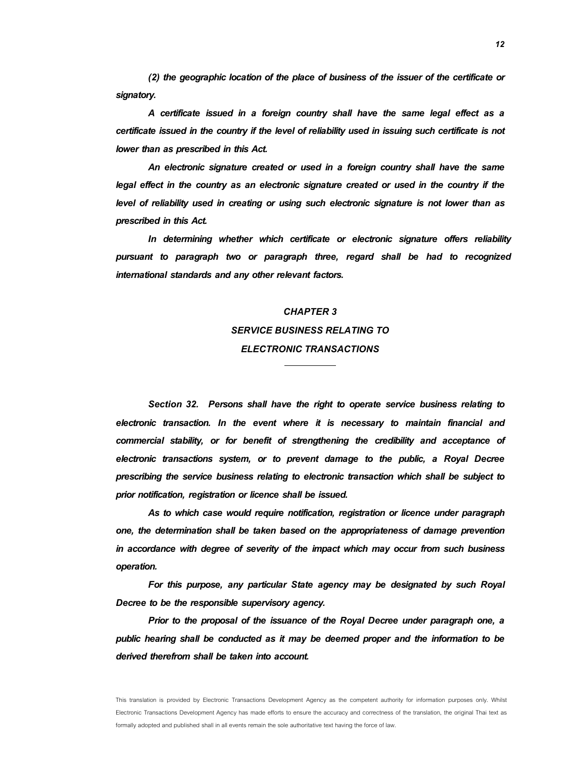(2) the geographic location of the place of business of the issuer of the certificate or signatory.

A certificate issued in a foreign country shall have the same legal effect as a certificate issued in the country if the level of reliability used in issuing such certificate is not lower than as prescribed in this Act.

An electronic signature created or used in a foreign country shall have the same legal effect in the country as an electronic signature created or used in the country if the level of reliability used in creating or using such electronic signature is not lower than as prescribed in this Act.

In determining whether which certificate or electronic signature offers reliability pursuant to paragraph two or paragraph three, regard shall be had to recognized international standards and any other relevant factors.

# **CHAPTER 3 SERVICE BUSINESS RELATING TO ELECTRONIC TRANSACTIONS**

**Section 32.** Persons shall have the right to operate service business relating to electronic transaction. In the event where it is necessary to maintain financial and commercial stability, or for benefit of strengthening the credibility and acceptance of electronic transactions system, or to prevent damage to the public, a Royal Decree prescribing the service business relating to electronic transaction which shall be subject to prior notification, registration or licence shall be issued.

As to which case would require notification, registration or licence under paragraph one, the determination shall be taken based on the appropriateness of damage prevention in accordance with degree of severity of the impact which may occur from such business operation.

For this purpose, any particular State agency may be designated by such Royal Decree to be the responsible supervisory agency.

Prior to the proposal of the issuance of the Royal Decree under paragraph one, a public hearing shall be conducted as it may be deemed proper and the information to be derived therefrom shall be taken into account.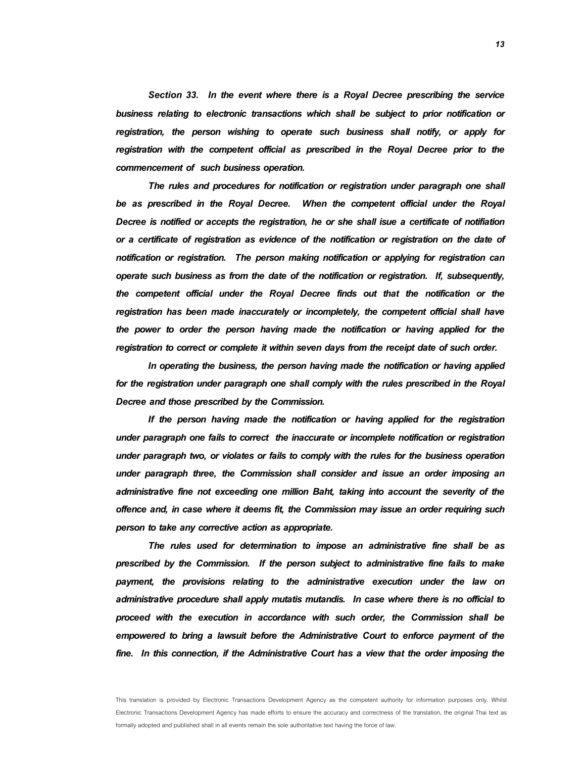**Section 33.** In the event where there is a Royal Decree prescribing the service business relating to electronic transactions which shall be subject to prior notification or registration, the person wishing to operate such business shall notify, or apply for registration with the competent official as prescribed in the Royal Decree prior to the commencement of such business operation.

The rules and procedures for notification or registration under paragraph one shall be as prescribed in the Royal Decree. When the competent official under the Royal Decree is notified or accepts the registration, he or she shall isue a certificate of notifiation or a certificate of registration as evidence of the notification or registration on the date of notification or registration. The person making notification or applying for registration can operate such business as from the date of the notification or registration. If, subsequently, the competent official under the Royal Decree finds out that the notification or the registration has been made inaccurately or incompletely, the competent official shall have the power to order the person having made the notification or having applied for the registration to correct or complete it within seven days from the receipt date of such order.

In operating the business, the person having made the notification or having applied for the registration under paragraph one shall comply with the rules prescribed in the Royal Decree and those prescribed by the Commission.

If the person having made the notification or having applied for the registration under paragraph one fails to correct the inaccurate or incomplete notification or registration under paragraph two, or violates or fails to comply with the rules for the business operation under paragraph three, the Commission shall consider and issue an order imposing an administrative fine not exceeding one million Baht, taking into account the severity of the offence and, in case where it deems fit, the Commission may issue an order requiring such person to take any corrective action as appropriate.

The rules used for determination to impose an administrative fine shall be as prescribed by the Commission. If the person subject to administrative fine fails to make payment, the provisions relating to the administrative execution under the law on administrative procedure shall apply mutatis mutandis. In case where there is no official to proceed with the execution in accordance with such order, the Commission shall be empowered to bring a lawsuit before the Administrative Court to enforce payment of the fine. In this connection, if the Administrative Court has a view that the order imposing the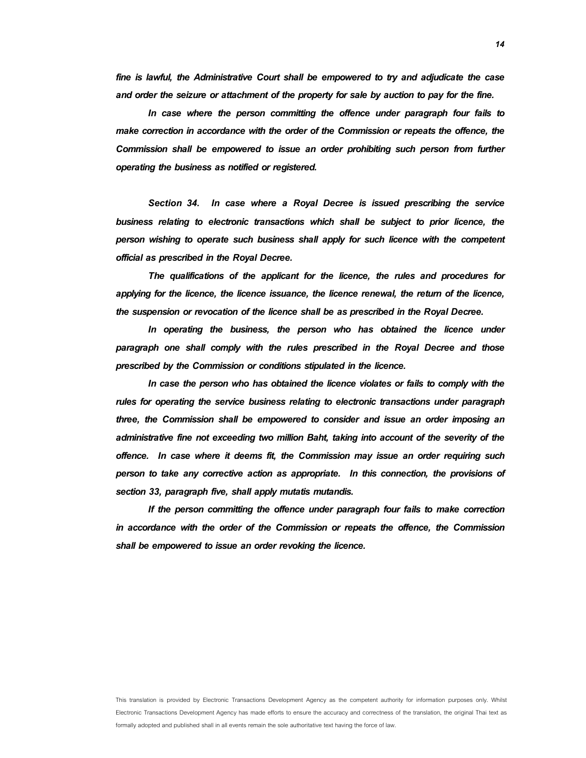fine is lawful, the Administrative Court shall be empowered to try and adjudicate the case and order the seizure or attachment of the property for sale by auction to pay for the fine.

In case where the person committing the offence under paragraph four fails to make correction in accordance with the order of the Commission or repeats the offence, the Commission shall be empowered to issue an order prohibiting such person from further operating the business as notified or registered.

**Section 34.** In case where a Royal Decree is issued prescribing the service business relating to electronic transactions which shall be subject to prior licence, the person wishing to operate such business shall apply for such licence with the competent official as prescribed in the Royal Decree.

The qualifications of the applicant for the licence, the rules and procedures for applying for the licence, the licence issuance, the licence renewal, the return of the licence, the suspension or revocation of the licence shall be as prescribed in the Royal Decree.

In operating the business, the person who has obtained the licence under paragraph one shall comply with the rules prescribed in the Royal Decree and those prescribed by the Commission or conditions stipulated in the licence.

In case the person who has obtained the licence violates or fails to comply with the rules for operating the service business relating to electronic transactions under paragraph three, the Commission shall be empowered to consider and issue an order imposing an administrative fine not exceeding two million Baht, taking into account of the severity of the offence. In case where it deems fit, the Commission may issue an order requiring such person to take any corrective action as appropriate. In this connection, the provisions of section 33, paragraph five, shall apply mutatis mutandis.

If the person committing the offence under paragraph four fails to make correction in accordance with the order of the Commission or repeats the offence, the Commission shall be empowered to issue an order revoking the licence.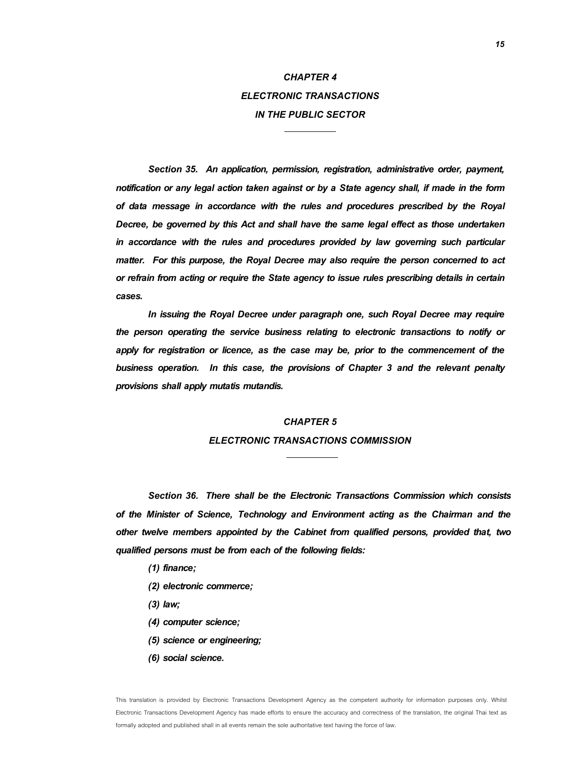# **CHAPTER 4 ELECTRONIC TRANSACTIONS IN THE PUBLIC SECTOR**

**Section 35.** An application, permission, registration, administrative order, payment, notification or any legal action taken against or by a State agency shall, if made in the form of data message in accordance with the rules and procedures prescribed by the Royal Decree, be governed by this Act and shall have the same legal effect as those undertaken in accordance with the rules and procedures provided by law governing such particular matter. For this purpose, the Royal Decree may also require the person concerned to act or refrain from acting or require the State agency to issue rules prescribing details in certain cases.

In issuing the Royal Decree under paragraph one, such Royal Decree may require the person operating the service business relating to electronic transactions to notify or apply for registration or licence, as the case may be, prior to the commencement of the business operation. In this case, the provisions of Chapter 3 and the relevant penalty provisions shall apply mutatis mutandis.

#### **CHAPTER 5**

### **ELECTRONIC TRANSACTIONS COMMISSION**

**Section 36.** There shall be the Electronic Transactions Commission which consists of the Minister of Science, Technology and Environment acting as the Chairman and the other twelve members appointed by the Cabinet from qualified persons, provided that, two qualified persons must be from each of the following fields:

- (1) finance;
- (2) electronic commerce;
- (3) law;
- (4) computer science;
- (5) science or engineering;
- (6) social science.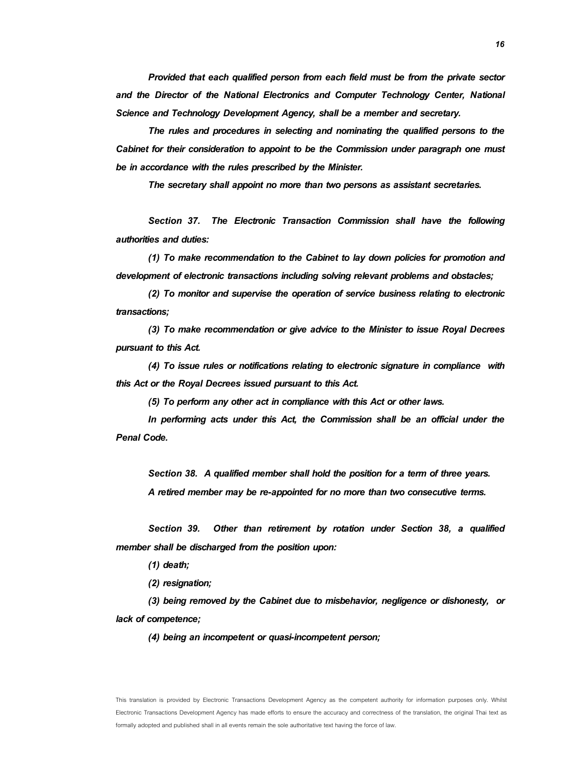Provided that each qualified person from each field must be from the private sector and the Director of the National Electronics and Computer Technology Center, National Science and Technology Development Agency, shall be a member and secretary.

 The rules and procedures in selecting and nominating the qualified persons to the Cabinet for their consideration to appoint to be the Commission under paragraph one must be in accordance with the rules prescribed by the Minister.

The secretary shall appoint no more than two persons as assistant secretaries.

**Section 37.** The Electronic Transaction Commission shall have the following authorities and duties:

(1) To make recommendation to the Cabinet to lay down policies for promotion and development of electronic transactions including solving relevant problems and obstacles;

(2) To monitor and supervise the operation of service business relating to electronic transactions;

(3) To make recommendation or give advice to the Minister to issue Royal Decrees pursuant to this Act.

(4) To issue rules or notifications relating to electronic signature in compliance with this Act or the Royal Decrees issued pursuant to this Act.

(5) To perform any other act in compliance with this Act or other laws.

In performing acts under this Act, the Commission shall be an official under the Penal Code.

**Section 38.** A qualified member shall hold the position for a term of three years.

A retired member may be re-appointed for no more than two consecutive terms.

**Section 39.** Other than retirement by rotation under Section 38, a qualified member shall be discharged from the position upon:

(1) death;

(2) resignation;

(3) being removed by the Cabinet due to misbehavior, negligence or dishonesty, or lack of competence;

(4) being an incompetent or quasi-incompetent person;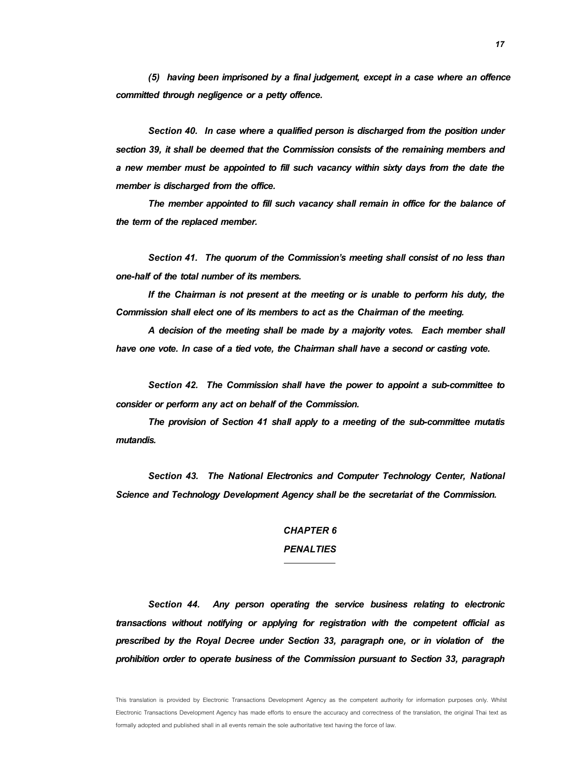(5) having been imprisoned by a final judgement, except in a case where an offence committed through negligence or a petty offence.

**Section 40.** In case where a qualified person is discharged from the position under section 39, it shall be deemed that the Commission consists of the remaining members and a new member must be appointed to fill such vacancy within sixty days from the date the member is discharged from the office.

The member appointed to fill such vacancy shall remain in office for the balance of the term of the replaced member.

**Section 41.** The quorum of the Commission's meeting shall consist of no less than one-half of the total number of its members.

If the Chairman is not present at the meeting or is unable to perform his duty, the Commission shall elect one of its members to act as the Chairman of the meeting.

A decision of the meeting shall be made by a majority votes. Each member shall have one vote. In case of a tied vote, the Chairman shall have a second or casting vote.

**Section 42.** The Commission shall have the power to appoint a sub-committee to consider or perform any act on behalf of the Commission.

The provision of Section 41 shall apply to a meeting of the sub-committee mutatis mutandis.

**Section 43.** The National Electronics and Computer Technology Center, National Science and Technology Development Agency shall be the secretariat of the Commission.

### **CHAPTER 6**

# **PENALTIES**

**Section 44.** Any person operating the service business relating to electronic transactions without notifying or applying for registration with the competent official as prescribed by the Royal Decree under Section 33, paragraph one, or in violation of the prohibition order to operate business of the Commission pursuant to Section 33, paragraph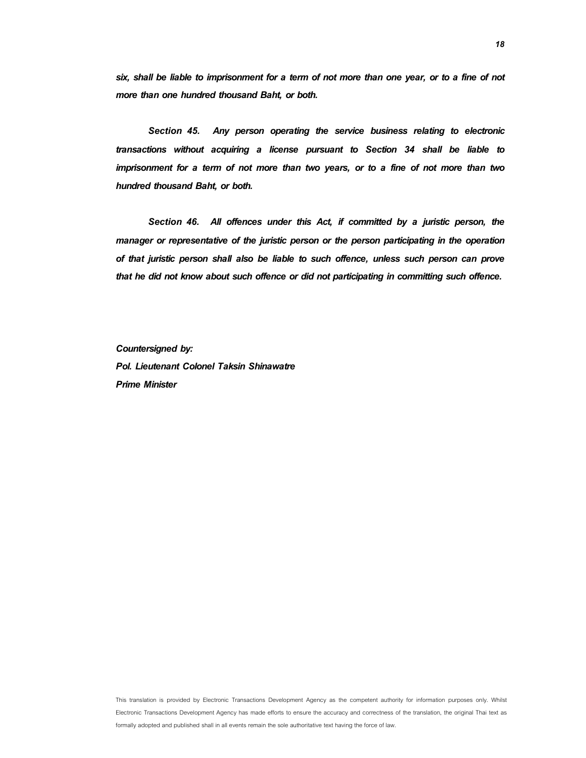six, shall be liable to imprisonment for a term of not more than one year, or to a fine of not more than one hundred thousand Baht, or both.

**Section 45.** Any person operating the service business relating to electronic transactions without acquiring a license pursuant to Section 34 shall be liable to imprisonment for a term of not more than two years, or to a fine of not more than two hundred thousand Baht, or both.

**Section 46.** All offences under this Act, if committed by a juristic person, the manager or representative of the juristic person or the person participating in the operation of that juristic person shall also be liable to such offence, unless such person can prove that he did not know about such offence or did not participating in committing such offence.

Countersigned by: Pol. Lieutenant Colonel Taksin Shinawatre Prime Minister